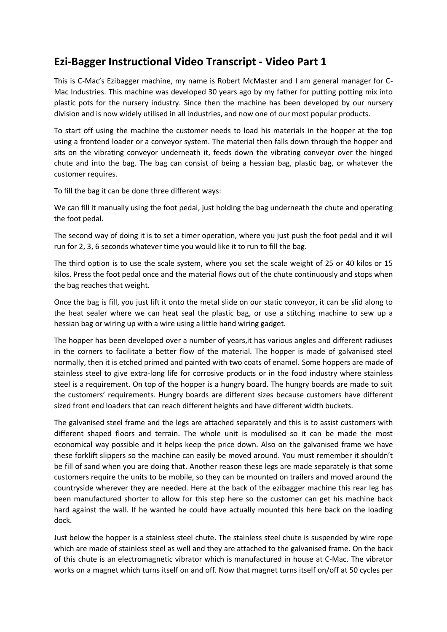## **Ezi-Bagger Instructional Video Transcript - Video Part 1**

This is C-Mac's Ezibagger machine, my name is Robert McMaster and I am general manager for C-Mac Industries. This machine was developed 30 years ago by my father for putting potting mix into plastic pots for the nursery industry. Since then the machine has been developed by our nursery division and is now widely utilised in all industries, and now one of our most popular products.

To start off using the machine the customer needs to load his materials in the hopper at the top using a frontend loader or a conveyor system. The material then falls down through the hopper and sits on the vibrating conveyor underneath it, feeds down the vibrating conveyor over the hinged chute and into the bag. The bag can consist of being a hessian bag, plastic bag, or whatever the customer requires.

To fill the bag it can be done three different ways:

We can fill it manually using the foot pedal, just holding the bag underneath the chute and operating the foot pedal.

The second way of doing it is to set a timer operation, where you just push the foot pedal and it will run for 2, 3, 6 seconds whatever time you would like it to run to fill the bag.

The third option is to use the scale system, where you set the scale weight of 25 or 40 kilos or 15 kilos. Press the foot pedal once and the material flows out of the chute continuously and stops when the bag reaches that weight.

Once the bag is fill, you just lift it onto the metal slide on our static conveyor, it can be slid along to the heat sealer where we can heat seal the plastic bag, or use a stitching machine to sew up a hessian bag or wiring up with a wire using a little hand wiring gadget.

The hopper has been developed over a number of years,it has various angles and different radiuses in the corners to facilitate a better flow of the material. The hopper is made of galvanised steel normally, then it is etched primed and painted with two coats of enamel. Some hoppers are made of stainless steel to give extra-long life for corrosive products or in the food industry where stainless steel is a requirement. On top of the hopper is a hungry board. The hungry boards are made to suit the customers' requirements. Hungry boards are different sizes because customers have different sized front end loaders that can reach different heights and have different width buckets.

The galvanised steel frame and the legs are attached separately and this is to assist customers with different shaped floors and terrain. The whole unit is modulised so it can be made the most economical way possible and it helps keep the price down. Also on the galvanised frame we have these forklift slippers so the machine can easily be moved around. You must remember it shouldn't be fill of sand when you are doing that. Another reason these legs are made separately is that some customers require the units to be mobile, so they can be mounted on trailers and moved around the countryside wherever they are needed. Here at the back of the ezibagger machine this rear leg has been manufactured shorter to allow for this step here so the customer can get his machine back hard against the wall. If he wanted he could have actually mounted this here back on the loading dock.

Just below the hopper is a stainless steel chute. The stainless steel chute is suspended by wire rope which are made of stainless steel as well and they are attached to the galvanised frame. On the back of this chute is an electromagnetic vibrator which is manufactured in house at C-Mac. The vibrator works on a magnet which turns itself on and off. Now that magnet turns itself on/off at 50 cycles per